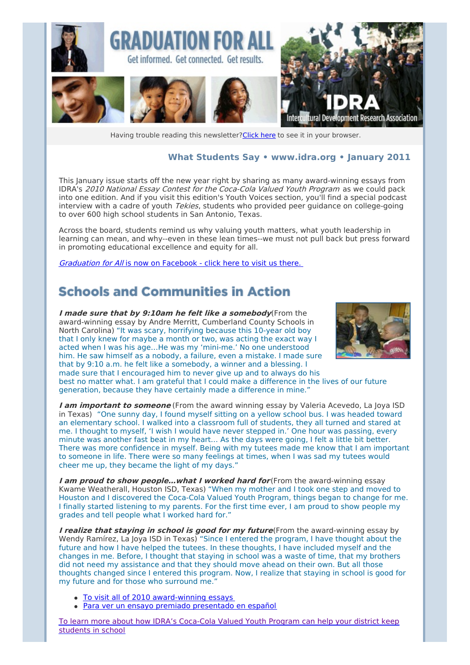

Having trouble reading this newsletter? Click here to see it in your browser.

#### **What Students Say • [www.idra.org](http://newsletter.impulsedevelopment.com/t/1/l/ydsyul/l/www.idra.org) • January 2011**

This January issue starts off the new year right by sharing as many award-winning essays from IDRA's 2010 National Essay Contest for the Coca-Cola Valued Youth Program as we could pack into one edition. And if you visit this edition's Youth Voices section, you'll find a special podcast interview with a cadre of youth *Tekies*, students who provided peer guidance on college-going to over 600 high school students in San Antonio, Texas.

Across the board, students remind us why valuing youth matters, what youth leadership in learning can mean, and why--even in these lean times--we must not pull back but press forward in promoting educational excellence and equity for all.

Graduation for All is now on [Facebook](http://newsletter.impulsedevelopment.com/t/r/l/ydsyul/l/r) - click here to visit us there.

### **Schools and Communities in Action**

**I made sure that by 9:10am he felt like <sup>a</sup> somebody**(From the award-winning essay by Andre Merritt, Cumberland County Schools in North Carolina) "It was scary, horrifying because this 10-year old boy that I only knew for maybe a month or two, was acting the exact way I acted when I was his age…He was my 'mini-me.' No one understood him. He saw himself as a nobody, a failure, even a mistake. I made sure that by 9:10 a.m. he felt like a somebody, a winner and a blessing. I made sure that I encouraged him to never give up and to always do his



best no matter what. I am grateful that I could make a difference in the lives of our future generation, because they have certainly made a difference in mine."

**I am important to someone** (From the award winning essay by Valeria Acevedo, La Joya ISD in Texas) "One sunny day, I found myself sitting on a yellow school bus. I was headed toward an elementary school. I walked into a classroom full of students, they all turned and stared at me. I thought to myself, 'I wish I would have never stepped in.' One hour was passing, every minute was another fast beat in my heart… As the days were going, I felt a little bit better. There was more confidence in myself. Being with my tutees made me know that I am important to someone in life. There were so many feelings at times, when I was sad my tutees would cheer me up, they became the light of my days."

**I am proud to show people…what I worked hard for** (From the award-winning essay Kwame Weatherall, Houston ISD, Texas) "When my mother and I took one step and moved to Houston and I discovered the Coca-Cola Valued Youth Program, things began to change for me. I finally started listening to my parents. For the first time ever, I am proud to show people my grades and tell people what I worked hard for."

**I realize that staying in school is good for my future**(From the award-winning essay by Wendy Ramírez, La Joya ISD in Texas) "Since I entered the program, I have thought about the future and how I have helped the tutees. In these thoughts, I have included myself and the changes in me. Before, I thought that staying in school was a waste of time, that my brothers did not need my assistance and that they should move ahead on their own. But all those thoughts changed since I entered this program. Now, I realize that staying in school is good for my future and for those who surround me."

- To visit all of 2010 [award-winning](http://newsletter.impulsedevelopment.com/t/r/l/ydsyul/l/y) essays
- Para ver un ensayo premiado [presentado](http://newsletter.impulsedevelopment.com/t/r/l/ydsyul/l/j) en español

To learn more about how IDRA's [Coca-Cola](http://newsletter.impulsedevelopment.com/t/r/l/ydsyul/l/t) Valued Youth Program can help your district keep students in school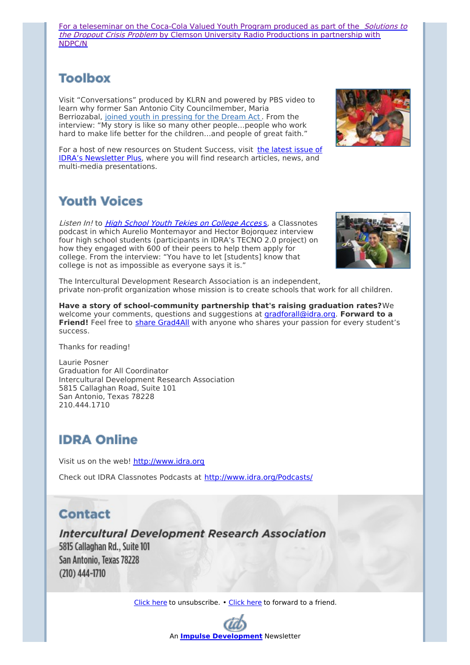For a [teleseminar](http://newsletter.impulsedevelopment.com/t/r/l/ydsyul/l/i) on the Coca-Cola Valued Youth Program produced as part of the *Solutions to* the Dropout Crisis Problem by Clemson University Radio Productions in partnership with NDPC/N

## **Toolbox**

Visit "Conversations" produced by KLRN and powered by PBS video to learn why former San Antonio City Councilmember, Maria Berriozabal, joined youth in [pressing](http://newsletter.impulsedevelopment.com/t/r/l/ydsyul/l/d) for the Dream Act . From the interview: "My story is like so many other people…people who work hard to make life better for the children...and people of great faith."



For a host of new resources on Student Success, visit the latest issue of IDRA's [Newsletter](http://newsletter.impulsedevelopment.com/t/r/l/ydsyul/l/h) Plus, where you will find research articles, news, and multi-media presentations.

## **Youth Voices**

Listen In! to **High School Youth Tekies on [College](http://newsletter.impulsedevelopment.com/t/r/l/ydsyul/l/k) Access**, a Classnotes podcast in which Aurelio Montemayor and Hector Bojorquez interview four high school students (participants in IDRA's TECNO 2.0 project) on how they engaged with 600 of their peers to help them apply for college. From the interview: "You have to let [students] know that college is not as impossible as everyone says it is."



The Intercultural Development Research Association is an independent, private non-profit organization whose mission is to create schools that work for all children.

**Have a story of school-community partnership that's raising graduation rates?**We welcome your comments, questions and suggestions at [gradforall@idra.org](mailto:gradforall@idra.org?subject=January Issue%3A What Students Say). **Forward to a** Friend! Feel free to share [Grad4All](http://newsletter.impulsedevelopment.com/t/r/l/ydsyul/l/u) with anyone who shares your passion for every student's success.

Thanks for reading!

Laurie Posner Graduation for All Coordinator Intercultural Development Research Association 5815 Callaghan Road, Suite 101 San Antonio, Texas 78228 210.444.1710

# **IDRA Online**

Visit us on the web! [http://www.idra.org](http://newsletter.impulsedevelopment.com/t/1/l/ydsyul/l/www.idra.org)

Check out IDRA Classnotes Podcasts at [http://www.idra.org/Podcasts/](http://newsletter.impulsedevelopment.com/t/1/l/ydsyul/l/www.idra.org/Podcasts/)

#### **Contact**

**Intercultural Development Research Association** 

5815 Callaghan Rd., Suite 101 San Antonio, Texas 78228  $(210)$  444-1710

[Click](http://newsletter.impulsedevelopment.com/t/1/u/ydsyul/l/) here to unsubscribe. • [Click](http://idra.forward-email.com/r/l-2AD73FFF-ydsyul-l) here to forward to a friend.